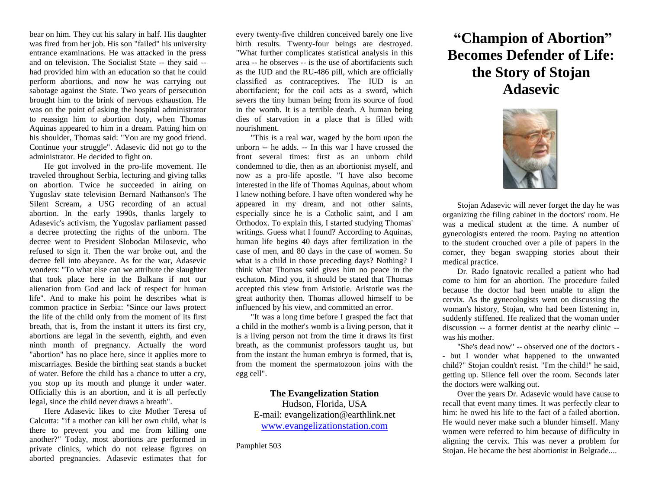bear on him. They cut his salary in half. His daughter was fired from her job. His son "failed" his university entrance examinations. He was attacked in the press and on television. The Socialist State -- they said - had provided him with an education so that he could perform abortions, and now he was carrying out sabotage against the State. Two years of persecution brought him to the brink of nervous exhaustion. He was on the point of asking the hospital administrator to reassign him to abortion duty, when Thomas Aquinas appeared to him in a dream. Patting him on his shoulder, Thomas said: "You are my good friend. Continue your struggle". Adasevic did not go to the administrator. He decided to fight on.

He got involved in the pro-life movement. He traveled throughout Serbia, lecturing and giving talks on abortion. Twice he succeeded in airing on Yugoslav state television Bernard Nathanson's The Silent Scream, a USG recording of an actual abortion. In the early 1990s, thanks largely to Adasevic's activism, the Yugoslav parliament passed a decree protecting the rights of the unborn. The decree went to President Slobodan Milosevic, who refused to sign it. Then the war broke out, and the decree fell into abeyance. As for the war, Adasevic wonders: "To what else can we attribute the slaughter that took place here in the Balkans if not our alienation from God and lack of respect for human life". And to make his point he describes what is common practice in Serbia: "Since our laws protect the life of the child only from the moment of its first breath, that is, from the instant it utters its first cry, abortions are legal in the seventh, eighth, and even ninth month of pregnancy. Actually the word "abortion" has no place here, since it applies more to miscarriages. Beside the birthing seat stands a bucket of water. Before the child has a chance to utter a cry, you stop up its mouth and plunge it under water. Officially this is an abortion, and it is all perfectly legal, since the child never draws a breath".

Here Adasevic likes to cite Mother Teresa of Calcutta: "if a mother can kill her own child, what is there to prevent you and me from killing one another?" Today, most abortions are performed in private clinics, which do not release figures on aborted pregnancies. Adasevic estimates that for

every twenty-five children conceived barely one live birth results. Twenty-four beings are destroyed. "What further complicates statistical analysis in this area -- he observes -- is the use of abortifacients such as the IUD and the RU-486 pill, which are officially classified as contraceptives. The IUD is an abortifacient; for the coil acts as a sword, which severs the tiny human being from its source of food in the womb. It is a terrible death. A human being dies of starvation in a place that is filled with nourishment.

"This is a real war, waged by the born upon the unborn -- he adds. -- In this war I have crossed the front several times: first as an unborn child condemned to die, then as an abortionist myself, and now as a pro-life apostle. "I have also become interested in the life of Thomas Aquinas, about whom I knew nothing before. I have often wondered why he appeared in my dream, and not other saints, especially since he is a Catholic saint, and I am Orthodox. To explain this, I started studying Thomas' writings. Guess what I found? According to Aquinas, human life begins 40 days after fertilization in the case of men, and 80 days in the case of women. So what is a child in those preceding days? Nothing? I think what Thomas said gives him no peace in the eschaton. Mind you, it should be stated that Thomas accepted this view from Aristotle. Aristotle was the great authority then. Thomas allowed himself to be influenced by his view, and committed an error.

"It was a long time before I grasped the fact that a child in the mother's womb is a living person, that it is a living person not from the time it draws its first breath, as the communist professors taught us, but from the instant the human embryo is formed, that is, from the moment the spermatozoon joins with the egg cell".

## **The Evangelization Station**

Hudson, Florida, USA E-mail: evangelization@earthlink.net [www.evangelizationstation.com](http://www.pjpiisoe.org/)

Pamphlet 503

# **"Champion of Abortion" Becomes Defender of Life: the Story of Stojan Adasevic**



Stojan Adasevic will never forget the day he was organizing the filing cabinet in the doctors' room. He was a medical student at the time. A number of gynecologists entered the room. Paying no attention to the student crouched over a pile of papers in the corner, they began swapping stories about their medical practice.

Dr. Rado Ignatovic recalled a patient who had come to him for an abortion. The procedure failed because the doctor had been unable to align the cervix. As the gynecologists went on discussing the woman's history, Stojan, who had been listening in, suddenly stiffened. He realized that the woman under discussion -- a former dentist at the nearby clinic - was his mother.

"She's dead now" -- observed one of the doctors - - but I wonder what happened to the unwanted child?" Stojan couldn't resist. "I'm the child!" he said, getting up. Silence fell over the room. Seconds later the doctors were walking out.

Over the years Dr. Adasevic would have cause to recall that event many times. It was perfectly clear to him: he owed his life to the fact of a failed abortion. He would never make such a blunder himself. Many women were referred to him because of difficulty in aligning the cervix. This was never a problem for Stojan. He became the best abortionist in Belgrade....